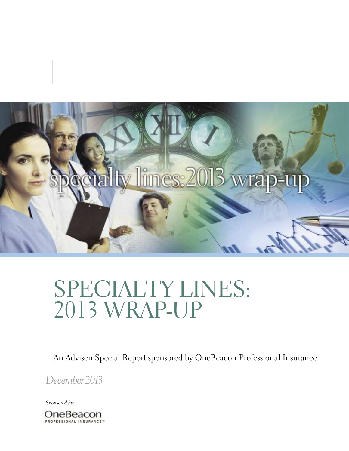

# SPECIALTY LINES: 2013 WRAP-UP

An Advisen Special Report sponsored by OneBeacon Professional Insurance

*December 2013*

*Sponsored by:*

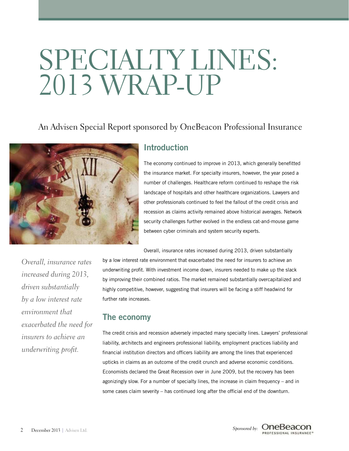# SPECIALTY LINES: 2013 WRAP-UP

# An Advisen Special Report sponsored by OneBeacon Professional Insurance



# **Introduction**

The economy continued to improve in 2013, which generally benefitted the insurance market. For specialty insurers, however, the year posed a number of challenges. Healthcare reform continued to reshape the risk landscape of hospitals and other healthcare organizations. Lawyers and other professionals continued to feel the fallout of the credit crisis and recession as claims activity remained above historical averages. Network security challenges further evolved in the endless cat-and-mouse game between cyber criminals and system security experts.

*Overall, insurance rates increased during 2013, driven substantially by a low interest rate environment that exacerbated the need for insurers to achieve an underwriting profit.*

Overall, insurance rates increased during 2013, driven substantially by a low interest rate environment that exacerbated the need for insurers to achieve an underwriting profit. With investment income down, insurers needed to make up the slack by improving their combined ratios. The market remained substantially overcapitalized and highly competitive, however, suggesting that insurers will be facing a stiff headwind for further rate increases.

# **The economy**

The credit crisis and recession adversely impacted many specialty lines. Lawyers' professional liability, architects and engineers professional liability, employment practices liability and financial institution directors and officers liability are among the lines that experienced upticks in claims as an outcome of the credit crunch and adverse economic conditions. Economists declared the Great Recession over in June 2009, but the recovery has been agonizingly slow. For a number of specialty lines, the increase in claim frequency – and in some cases claim severity – has continued long after the official end of the downturn.

2 December 2013 | Advisen Ltd. *Sponsored by:* **OneBeacon** ROFESSIONAL INSURANCE\*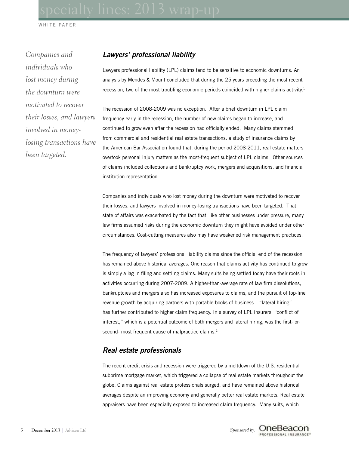*Companies and individuals who lost money during the downturn were motivated to recover their losses, and lawyers involved in moneylosing transactions have been targeted.*

# *Lawyers' professional liability*

Lawyers professional liability (LPL) claims tend to be sensitive to economic downturns. An analysis by Mendes & Mount concluded that during the 25 years preceding the most recent recession, two of the most troubling economic periods coincided with higher claims activity.<sup>1</sup>

The recession of 2008-2009 was no exception. After a brief downturn in LPL claim frequency early in the recession, the number of new claims began to increase, and continued to grow even after the recession had officially ended. Many claims stemmed from commercial and residential real estate transactions: a study of insurance claims by the American Bar Association found that, during the period 2008-2011, real estate matters overtook personal injury matters as the most-frequent subject of LPL claims. Other sources of claims included collections and bankruptcy work, mergers and acquisitions, and financial institution representation.

Companies and individuals who lost money during the downturn were motivated to recover their losses, and lawyers involved in money-losing transactions have been targeted. That state of affairs was exacerbated by the fact that, like other businesses under pressure, many law firms assumed risks during the economic downturn they might have avoided under other circumstances. Cost-cutting measures also may have weakened risk management practices.

The frequency of lawyers' professional liability claims since the official end of the recession has remained above historical averages. One reason that claims activity has continued to grow is simply a lag in filing and settling claims. Many suits being settled today have their roots in activities occurring during 2007-2009. A higher-than-average rate of law firm dissolutions, bankruptcies and mergers also has increased exposures to claims, and the pursuit of top-line revenue growth by acquiring partners with portable books of business – "lateral hiring" – has further contributed to higher claim frequency. In a survey of LPL insurers, "conflict of interest," which is a potential outcome of both mergers and lateral hiring, was the first- orsecond- most frequent cause of malpractice claims.<sup>2</sup>

## *Real estate professionals*

The recent credit crisis and recession were triggered by a meltdown of the U.S. residential subprime mortgage market, which triggered a collapse of real estate markets throughout the globe. Claims against real estate professionals surged, and have remained above historical averages despite an improving economy and generally better real estate markets. Real estate appraisers have been especially exposed to increased claim frequency. Many suits, which

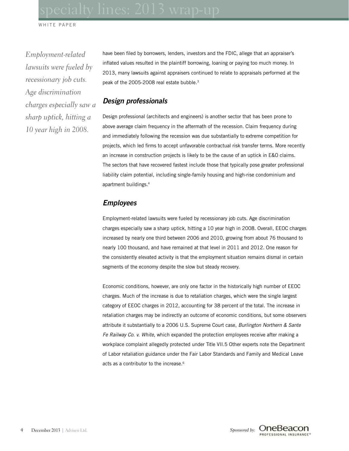*Employment-related lawsuits were fueled by recessionary job cuts. Age discrimination charges especially saw a sharp uptick, hitting a 10 year high in 2008.*

have been filed by borrowers, lenders, investors and the FDIC, allege that an appraiser's inflated values resulted in the plaintiff borrowing, loaning or paying too much money. In 2013, many lawsuits against appraisers continued to relate to appraisals performed at the peak of the 2005-2008 real estate bubble.<sup>3</sup>

# *Design professionals*

Design professional (architects and engineers) is another sector that has been prone to above average claim frequency in the aftermath of the recession. Claim frequency during and immediately following the recession was due substantially to extreme competition for projects, which led firms to accept unfavorable contractual risk transfer terms. More recently an increase in construction projects is likely to be the cause of an uptick in E&O claims. The sectors that have recovered fastest include those that typically pose greater professional liability claim potential, including single-family housing and high-rise condominium and apartment buildings.4

## *Employees*

Employment-related lawsuits were fueled by recessionary job cuts. Age discrimination charges especially saw a sharp uptick, hitting a 10 year high in 2008. Overall, EEOC charges increased by nearly one third between 2006 and 2010, growing from about 76 thousand to nearly 100 thousand, and have remained at that level in 2011 and 2012. One reason for the consistently elevated activity is that the employment situation remains dismal in certain segments of the economy despite the slow but steady recovery.

Economic conditions, however, are only one factor in the historically high number of EEOC charges. Much of the increase is due to retaliation charges, which were the single largest category of EEOC charges in 2012, accounting for 38 percent of the total. The increase in retaliation charges may be indirectly an outcome of economic conditions, but some observers attribute it substantially to a 2006 U.S. Supreme Court case, *Burlington Northern & Sante Fe Railway Co. v. White*, which expanded the protection employees receive after making a workplace complaint allegedly protected under Title VII.5 Other experts note the Department of Labor retaliation guidance under the Fair Labor Standards and Family and Medical Leave acts as a contributor to the increase.<sup>6</sup>

Sponsored by: **OneBeacon**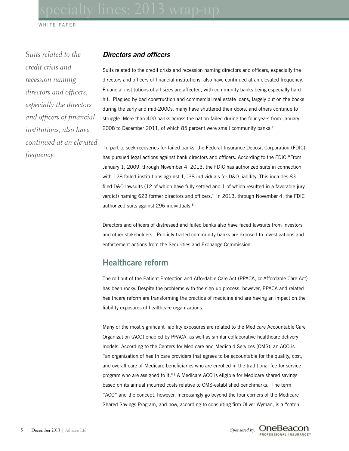*Suits related to the credit crisis and recession naming directors and officers, especially the directors and officers of financial institutions, also have continued at an elevated frequency.* 

## *Directors and officers*

Suits related to the credit crisis and recession naming directors and officers, especially the directors and officers of financial institutions, also have continued at an elevated frequency. Financial institutions of all sizes are affected, with community banks being especially hardhit. Plagued by bad construction and commercial real estate loans, largely put on the books during the early and mid-2000s, many have shuttered their doors, and others continue to struggle. More than 400 banks across the nation failed during the four years from January 2008 to December 2011, of which 85 percent were small community banks.7

 In part to seek recoveries for failed banks, the Federal Insurance Deposit Corporation (FDIC) has pursued legal actions against bank directors and officers. According to the FDIC "From January 1, 2009, through November 4, 2013, the FDIC has authorized suits in connection with 128 failed institutions against 1,038 individuals for D&O liability. This includes 83 filed D&O lawsuits (12 of which have fully settled and 1 of which resulted in a favorable jury verdict) naming 623 former directors and officers." In 2013, through November 4, the FDIC authorized suits against 296 individuals.<sup>8</sup>

Directors and officers of distressed and failed banks also have faced lawsuits from investors and other stakeholders. Publicly-traded community banks are exposed to investigations and enforcement actions from the Securities and Exchange Commission.

# **Healthcare reform**

The roll out of the Patient Protection and Affordable Care Act (PPACA, or Affordable Care Act) has been rocky. Despite the problems with the sign-up process, however, PPACA and related healthcare reform are transforming the practice of medicine and are having an impact on the liability exposures of healthcare organizations.

Many of the most significant liability exposures are related to the Medicare Accountable Care Organization (ACO) enabled by PPACA, as well as similar collaborative healthcare delivery models. According to the Centers for Medicare and Medicaid Services (CMS), an ACO is "an organization of health care providers that agrees to be accountable for the quality, cost, and overall care of Medicare beneficiaries who are enrolled in the traditional fee-for-service program who are assigned to it."9 A Medicare ACO is eligible for Medicare shared savings based on its annual incurred costs relative to CMS-established benchmarks. The term "ACO" and the concept, however, increasingly go beyond the four corners of the Medicare Shared Savings Program, and now, according to consulting firm Oliver Wyman, is a "catch-

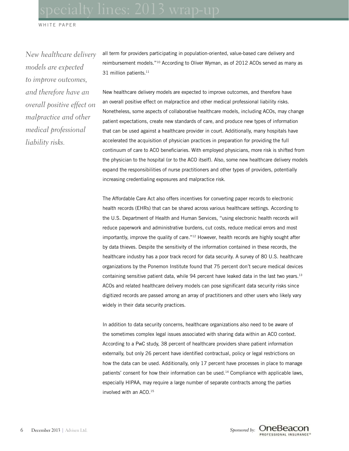*New healthcare delivery models are expected to improve outcomes, and therefore have an overall positive effect on malpractice and other medical professional liability risks.* 

all term for providers participating in population-oriented, value-based care delivery and reimbursement models."10 According to Oliver Wyman, as of 2012 ACOs served as many as 31 million patients.<sup>11</sup>

New healthcare delivery models are expected to improve outcomes, and therefore have an overall positive effect on malpractice and other medical professional liability risks. Nonetheless, some aspects of collaborative healthcare models, including ACOs, may change patient expectations, create new standards of care, and produce new types of information that can be used against a healthcare provider in court. Additionally, many hospitals have accelerated the acquisition of physician practices in preparation for providing the full continuum of care to ACO beneficiaries. With employed physicians, more risk is shifted from the physician to the hospital (or to the ACO itself). Also, some new healthcare delivery models expand the responsibilities of nurse practitioners and other types of providers, potentially increasing credentialing exposures and malpractice risk.

The Affordable Care Act also offers incentives for converting paper records to electronic health records (EHRs) that can be shared across various healthcare settings. According to the U.S. Department of Health and Human Services, "using electronic health records will reduce paperwork and administrative burdens, cut costs, reduce medical errors and most importantly, improve the quality of care."12 However, health records are highly sought after by data thieves. Despite the sensitivity of the information contained in these records, the healthcare industry has a poor track record for data security. A survey of 80 U.S. healthcare organizations by the Ponemon Institute found that 75 percent don't secure medical devices containing sensitive patient data, while 94 percent have leaked data in the last two years.<sup>13</sup> ACOs and related healthcare delivery models can pose significant data security risks since digitized records are passed among an array of practitioners and other users who likely vary widely in their data security practices.

In addition to data security concerns, healthcare organizations also need to be aware of the sometimes complex legal issues associated with sharing data within an ACO context. According to a PwC study, 38 percent of healthcare providers share patient information externally, but only 26 percent have identified contractual, policy or legal restrictions on how the data can be used. Additionally, only 17 percent have processes in place to manage patients' consent for how their information can be used.14 Compliance with applicable laws, especially HIPAA, may require a large number of separate contracts among the parties involved with an ACO.15

Sponsored by: **OneBeacon**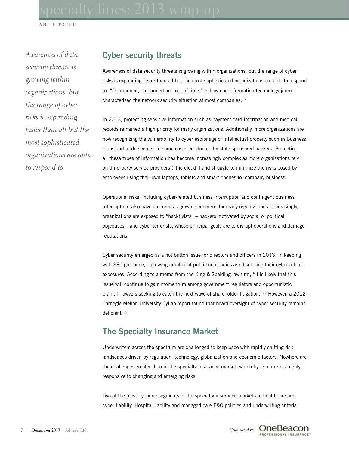*Awareness of data security threats is growing within organizations, but the range of cyber risks is expanding faster than all but the most sophisticated organizations are able to respond to.*

# **Cyber security threats**

Awareness of data security threats is growing within organizations, but the range of cyber risks is expanding faster than all but the most sophisticated organizations are able to respond to. "Outmanned, outgunned and out of time," is how one information technology journal characterized the network security situation at most companies.<sup>16</sup>

In 2013, protecting sensitive information such as payment card information and medical records remained a high priority for many organizations. Additionally, more organizations are now recognizing the vulnerability to cyber espionage of intellectual property such as business plans and trade secrets, in some cases conducted by state-sponsored hackers. Protecting all these types of information has become increasingly complex as more organizations rely on third-party service providers ("the cloud") and struggle to minimize the risks posed by employees using their own laptops, tablets and smart phones for company business.

Operational risks, including cyber-related business interruption and contingent business interruption, also have emerged as growing concerns for many organizations. Increasingly, organizations are exposed to "hacktivists" – hackers motivated by social or political objectives – and cyber terrorists, whose principal goals are to disrupt operations and damage reputations.

Cyber security emerged as a hot button issue for directors and officers in 2013. In keeping with SEC guidance, a growing number of public companies are disclosing their cyber-related exposures. According to a memo from the King & Spalding law firm, "it is likely that this issue will continue to gain momentum among government regulators and opportunistic plaintiff lawyers seeking to catch the next wave of shareholder litigation."17 However, a 2012 Carnegie Mellon University CyLab report found that board oversight of cyber security remains deficient.18

# **The Specialty Insurance Market**

Underwriters across the spectrum are challenged to keep pace with rapidly shifting risk landscapes driven by regulation, technology, globalization and economic factors. Nowhere are the challenges greater than in the specialty insurance market, which by its nature is highly responsive to changing and emerging risks.

Two of the most dynamic segments of the specialty insurance market are healthcare and cyber liability. Hospital liability and managed care E&O policies and underwriting criteria

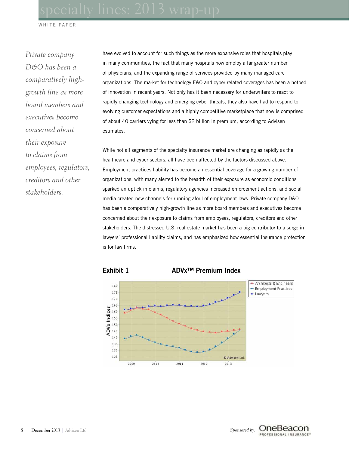*Private company D&O has been a comparatively highgrowth line as more board members and executives become concerned about their exposure to claims from employees, regulators, creditors and other stakeholders.*

have evolved to account for such things as the more expansive roles that hospitals play in many communities, the fact that many hospitals now employ a far greater number of physicians, and the expanding range of services provided by many managed care organizations. The market for technology E&O and cyber-related coverages has been a hotbed of innovation in recent years. Not only has it been necessary for underwriters to react to rapidly changing technology and emerging cyber threats, they also have had to respond to evolving customer expectations and a highly competitive marketplace that now is comprised of about 40 carriers vying for less than \$2 billion in premium, according to Advisen estimates.

While not all segments of the specialty insurance market are changing as rapidly as the healthcare and cyber sectors, all have been affected by the factors discussed above. Employment practices liability has become an essential coverage for a growing number of organizations, with many alerted to the breadth of their exposure as economic conditions sparked an uptick in claims, regulatory agencies increased enforcement actions, and social media created new channels for running afoul of employment laws. Private company D&O has been a comparatively high-growth line as more board members and executives become concerned about their exposure to claims from employees, regulators, creditors and other stakeholders. The distressed U.S. real estate market has been a big contributor to a surge in lawyers' professional liability claims, and has emphasized how essential insurance protection is for law firms.



**Exhibit 1 ADVx™ Premium Index**



*Sponsored by:*

OneBeacon ROFESSIONAL INSURANCE'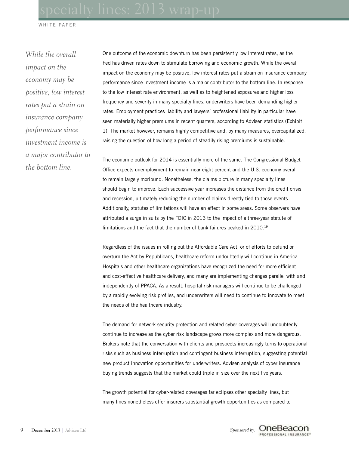*While the overall impact on the economy may be positive, low interest rates put a strain on insurance company performance since investment income is a major contributor to the bottom line.*

One outcome of the economic downturn has been persistently low interest rates, as the Fed has driven rates down to stimulate borrowing and economic growth. While the overall impact on the economy may be positive, low interest rates put a strain on insurance company performance since investment income is a major contributor to the bottom line. In response to the low interest rate environment, as well as to heightened exposures and higher loss frequency and severity in many specialty lines, underwriters have been demanding higher rates. Employment practices liability and lawyers' professional liability in particular have seen materially higher premiums in recent quarters, according to Advisen statistics (Exhibit 1). The market however, remains highly competitive and, by many measures, overcapitalized, raising the question of how long a period of steadily rising premiums is sustainable.

The economic outlook for 2014 is essentially more of the same. The Congressional Budget Office expects unemployment to remain near eight percent and the U.S. economy overall to remain largely moribund. Nonetheless, the claims picture in many specialty lines should begin to improve. Each successive year increases the distance from the credit crisis and recession, ultimately reducing the number of claims directly tied to those events. Additionally, statutes of limitations will have an effect in some areas. Some observers have attributed a surge in suits by the FDIC in 2013 to the impact of a three-year statute of limitations and the fact that the number of bank failures peaked in 2010.<sup>19</sup>

Regardless of the issues in rolling out the Affordable Care Act, or of efforts to defund or overturn the Act by Republicans, healthcare reform undoubtedly will continue in America. Hospitals and other healthcare organizations have recognized the need for more efficient and cost-effective healthcare delivery, and many are implementing changes parallel with and independently of PPACA. As a result, hospital risk managers will continue to be challenged by a rapidly evolving risk profiles, and underwriters will need to continue to innovate to meet the needs of the healthcare industry.

The demand for network security protection and related cyber coverages will undoubtedly continue to increase as the cyber risk landscape grows more complex and more dangerous. Brokers note that the conversation with clients and prospects increasingly turns to operational risks such as business interruption and contingent business interruption, suggesting potential new product innovation opportunities for underwriters. Advisen analysis of cyber insurance buying trends suggests that the market could triple in size over the next five years.

The growth potential for cyber-related coverages far eclipses other specialty lines, but many lines nonetheless offer insurers substantial growth opportunities as compared to

*Sponsored by:* **OneBeacon**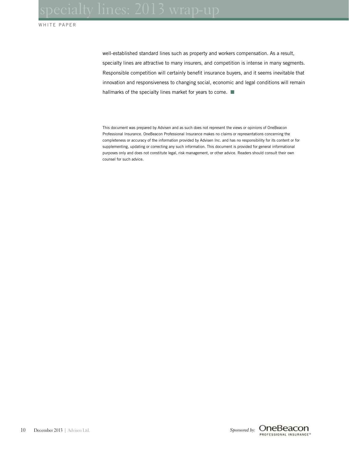well-established standard lines such as property and workers compensation. As a result, specialty lines are attractive to many insurers, and competition is intense in many segments. Responsible competition will certainly benefit insurance buyers, and it seems inevitable that innovation and responsiveness to changing social, economic and legal conditions will remain hallmarks of the specialty lines market for years to come.  $\blacksquare$ 

This document was prepared by Advisen and as such does not represent the views or opinions of OneBeacon Professional Insurance. OneBeacon Professional Insurance makes no claims or representations concerning the completeness or accuracy of the information provided by Advisen Inc. and has no responsibility for its content or for supplementing, updating or correcting any such information. This document is provided for general informational purposes only and does not constitute legal, risk management, or other advice. Readers should consult their own counsel for such advice.